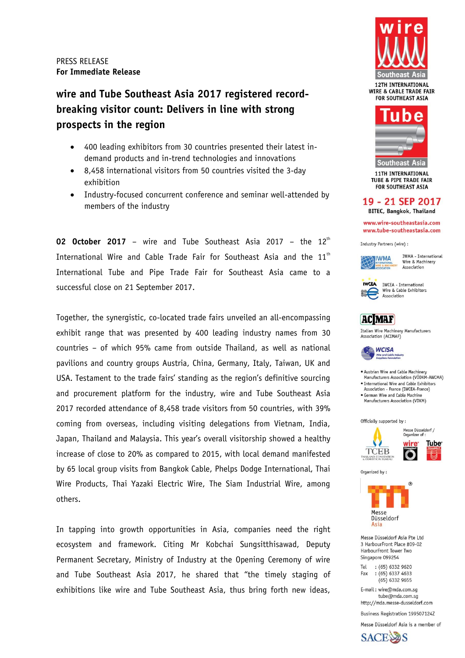# **wire and Tube Southeast Asia 2017 registered recordbreaking visitor count: Delivers in line with strong prospects in the region**

- 400 leading exhibitors from 30 countries presented their latest indemand products and in-trend technologies and innovations
- 8,458 international visitors from 50 countries visited the 3-day exhibition
- Industry-focused concurrent conference and seminar well-attended by members of the industry

**02 October 2017** – wire and Tube Southeast Asia 2017 – the 12<sup>th</sup> International Wire and Cable Trade Fair for Southeast Asia and the  $11<sup>th</sup>$ International Tube and Pipe Trade Fair for Southeast Asia came to a successful close on 21 September 2017.

Together, the synergistic, co-located trade fairs unveiled an all-encompassing exhibit range that was presented by 400 leading industry names from 30 countries – of which 95% came from outside Thailand, as well as national pavilions and country groups Austria, China, Germany, Italy, Taiwan, UK and USA. Testament to the trade fairs' standing as the region's definitive sourcing and procurement platform for the industry, wire and Tube Southeast Asia 2017 recorded attendance of 8,458 trade visitors from 50 countries, with 39% coming from overseas, including visiting delegations from Vietnam, India, Japan, Thailand and Malaysia. This year's overall visitorship showed a healthy increase of close to 20% as compared to 2015, with local demand manifested by 65 local group visits from Bangkok Cable, Phelps Dodge International, Thai Wire Products, Thai Yazaki Electric Wire, The Siam Industrial Wire, among others.

In tapping into growth opportunities in Asia, companies need the right ecosystem and framework. Citing Mr Kobchai Sungsitthisawad, Deputy Permanent Secretary, Ministry of Industry at the Opening Ceremony of wire and Tube Southeast Asia 2017, he shared that "the timely staging of exhibitions like wire and Tube Southeast Asia, thus bring forth new ideas,





11TH INTERNATIONAL **TUBE & PIPE TRADE FAIR FOR SOUTHEAST ASIA** 

### 19 - 21 SEP 2017

**BITEC, Bangkok, Thailand** 

www.wire-southeastasia.com www.tube-southeastasia.com

Industry Partners (wire) :



IWMA - International Wire & Machinery Association



**IWCEA** IWCEA - International Wire & Cable Exhibitors Association

# **ACIMAF**

Italian Wire Machinery Manufacturers<br>Association (ACIMAF)



• Austrian Wire and Cable Machinery<br>Manufacturers Association (VÖDKM-AWCMA)

· International Wire and Cable Exhibitors Association - France (IWCEA-France) · German Wire and Cable Machine Manufacturers Association (VDKM)



Organized by:



Messe Düsseldorf Asia Pte Ltd 3 HarbourFront Place #09-02 HarbourFront Tower Two Singapore 099254

Tel  $:(65) 6332 9620$  $:(65) 6337 4633$ Fax  $(65)$  6332 9655

E-mail: wire@mda.com.sg tube@mda.com.sg http://mda.messe-dusseldorf.com

Business Registration 199507124Z

Messe Düsseldorf Asia is a member of

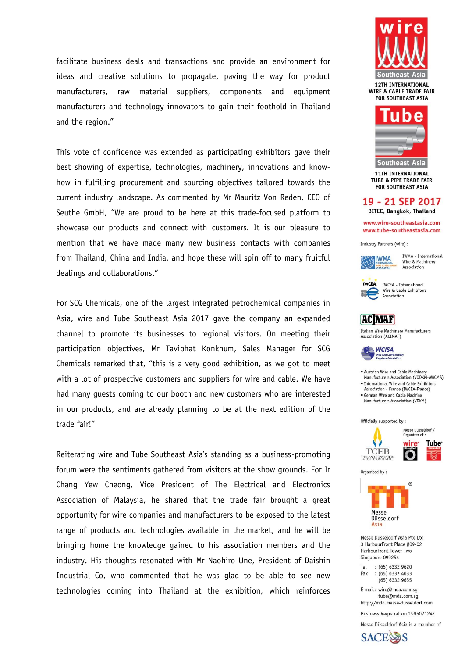facilitate business deals and transactions and provide an environment for ideas and creative solutions to propagate, paving the way for product manufacturers, raw material suppliers, components and equipment manufacturers and technology innovators to gain their foothold in Thailand and the region."

This vote of confidence was extended as participating exhibitors gave their best showing of expertise, technologies, machinery, innovations and knowhow in fulfilling procurement and sourcing objectives tailored towards the current industry landscape. As commented by Mr Mauritz Von Reden, CEO of Seuthe GmbH, "We are proud to be here at this trade-focused platform to showcase our products and connect with customers. It is our pleasure to mention that we have made many new business contacts with companies from Thailand, China and India, and hope these will spin off to many fruitful dealings and collaborations."

For SCG Chemicals, one of the largest integrated petrochemical companies in Asia, wire and Tube Southeast Asia 2017 gave the company an expanded channel to promote its businesses to regional visitors. On meeting their participation objectives, Mr Taviphat Konkhum, Sales Manager for SCG Chemicals remarked that, "this is a very good exhibition, as we got to meet with a lot of prospective customers and suppliers for wire and cable. We have had many quests coming to our booth and new customers who are interested in our products, and are already planning to be at the next edition of the trade fair!"

Reiterating wire and Tube Southeast Asia's standing as a business-promoting forum were the sentiments gathered from visitors at the show grounds. For Ir Chang Yew Cheong, Vice President of The Electrical and Electronics Association of Malaysia, he shared that the trade fair brought a great opportunity for wire companies and manufacturers to be exposed to the latest range of products and technologies available in the market, and he will be bringing home the knowledge gained to his association members and the industry. His thoughts resonated with Mr Naohiro Une, President of Daishin Industrial Co, who commented that he was glad to be able to see new technologies coming into Thailand at the exhibition, which reinforces





11TH INTERNATIONAL **TUBE & PIPE TRADE FAIR FOR SOUTHEAST ASIA** 

### 19 - 21 SEP 2017

**BITEC, Bangkok, Thailand** 

www.wire-southeastasia.com www.tube-southeastasia.com

Industry Partners (wire) :



IWMA - International Wire & Machinery Association



**IWCEA** IWCEA - International Wire & Cable Exhibitors Association

## **ACIMAF**

Italian Wire Machinery Manufacturers<br>Association (ACIMAF)



• Austrian Wire and Cable Machinery<br>Manufacturers Association (VÖDKM-AWCMA)

· International Wire and Cable Exhibitors Association - France (IWCEA-France) · German Wire and Cable Machine Manufacturers Association (VDKM)



Organized by:



Messe Düsseldorf Asia Pte Ltd 3 HarbourFront Place #09-02 HarbourFront Tower Two Singapore 099254

Tel  $:(65) 6332 9620$  $:(65) 6337 4633$ Fax  $(65)$  6332 9655

E-mail: wire@mda.com.sg tube@mda.com.sg http://mda.messe-dusseldorf.com

Business Registration 199507124Z

Messe Düsseldorf Asia is a member of

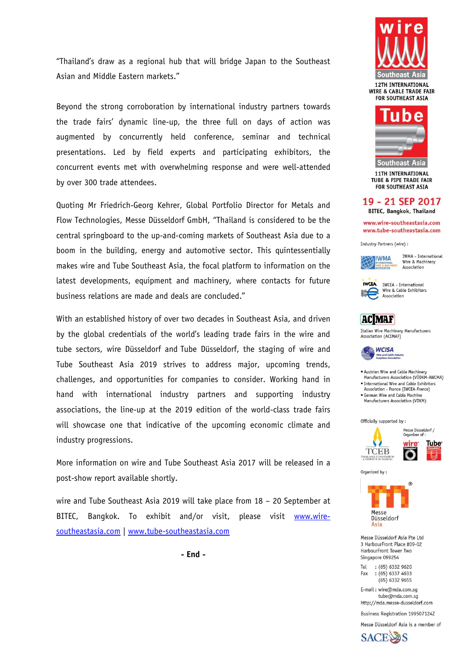"Thailand's draw as a regional hub that will bridge Japan to the Southeast Asian and Middle Eastern markets."

Beyond the strong corroboration by international industry partners towards the trade fairs' dynamic line-up, the three full on days of action was augmented by concurrently held conference, seminar and technical presentations. Led by field experts and participating exhibitors, the concurrent events met with overwhelming response and were well-attended by over 300 trade attendees.

Quoting Mr Friedrich-Georg Kehrer, Global Portfolio Director for Metals and Flow Technologies, Messe Düsseldorf GmbH, "Thailand is considered to be the central springboard to the up-and-coming markets of Southeast Asia due to a boom in the building, energy and automotive sector. This quintessentially makes wire and Tube Southeast Asia, the focal platform to information on the latest developments, equipment and machinery, where contacts for future business relations are made and deals are concluded."

With an established history of over two decades in Southeast Asia, and driven by the global credentials of the world's leading trade fairs in the wire and tube sectors, wire Düsseldorf and Tube Düsseldorf, the staging of wire and Tube Southeast Asia 2019 strives to address major, upcoming trends, challenges, and opportunities for companies to consider. Working hand in hand with international industry partners and supporting industry associations, the line-up at the 2019 edition of the world-class trade fairs will showcase one that indicative of the upcoming economic climate and industry progressions.

More information on wire and Tube Southeast Asia 2017 will be released in a post-show report available shortly.

wire and Tube Southeast Asia 2019 will take place from 18 – 20 September at BITEC, Bangkok. To exhibit and/or visit, please visit [www.wire](http://www.wire-southeastasia.com/)[southeastasia.com](http://www.wire-southeastasia.com/) | [www.tube-southeastasia.com](http://www.tube-southeastasia.com/)

**- End -**





11TH INTERNATIONAL **TUBE & PIPE TRADE FAIR FOR SOUTHEAST ASIA** 

#### 19 - 21 SEP 2017 **BITEC, Bangkok, Thailand**

www.wire-southeastasia.com www.tube-southeastasia.com

Industry Partners (wire) :



IWMA - International Wire & Machinery Association



**IWCEA** IWCEA - International Wire & Cable Exhibitors Association

# **ACIMAF**

Italian Wire Machinery Manufacturers<br>Association (ACIMAF)



• Austrian Wire and Cable Machinery<br>Manufacturers Association (VÖDKM-AWCMA)

· International Wire and Cable Exhibitors Association - France (IWCEA-France) · German Wire and Cable Machine Manufacturers Association (VDKM)





Organized by:



Messe Düsseldorf Asia Pte Ltd 3 HarbourFront Place #09-02 HarbourFront Tower Two Singapore 099254

Tel  $:(65) 6332 9620$  $:(65) 6337 4633$ Fax  $(65)$  6332 9655

E-mail: wire@mda.com.sg tube@mda.com.sg http://mda.messe-dusseldorf.com

Business Registration 199507124Z

Messe Düsseldorf Asia is a member of